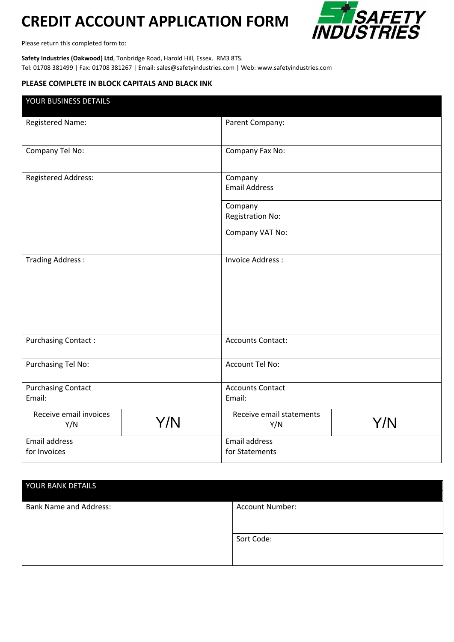## **CREDIT ACCOUNT APPLICATION FORM**



Please return this completed form to:

**Safety Industries (Oakwood) Ltd**, Tonbridge Road, Harold Hill, Essex. RM3 8TS. Tel: 01708 381499 | Fax: 01708 381267 | Email: sales@safetyindustries.com | Web: www.safetyindustries.com

## **PLEASE COMPLETE IN BLOCK CAPITALS AND BLACK INK**

| YOUR BUSINESS DETAILS                |     |                                        |     |
|--------------------------------------|-----|----------------------------------------|-----|
| <b>Registered Name:</b>              |     | Parent Company:                        |     |
| Company Tel No:                      |     | Company Fax No:                        |     |
| Registered Address:                  |     | Company<br><b>Email Address</b>        |     |
|                                      |     | Company<br><b>Registration No:</b>     |     |
|                                      |     | Company VAT No:                        |     |
| Trading Address:                     |     | <b>Invoice Address:</b>                |     |
| <b>Purchasing Contact:</b>           |     | <b>Accounts Contact:</b>               |     |
| Purchasing Tel No:                   |     | Account Tel No:                        |     |
| <b>Purchasing Contact</b><br>Email:  |     | <b>Accounts Contact</b><br>Email:      |     |
| Receive email invoices<br>Y/N        | Y/N | Receive email statements<br>Y/N        | Y/N |
| <b>Email address</b><br>for Invoices |     | <b>Email address</b><br>for Statements |     |

| YOUR BANK DETAILS             |                        |
|-------------------------------|------------------------|
| <b>Bank Name and Address:</b> | <b>Account Number:</b> |
|                               | Sort Code:             |